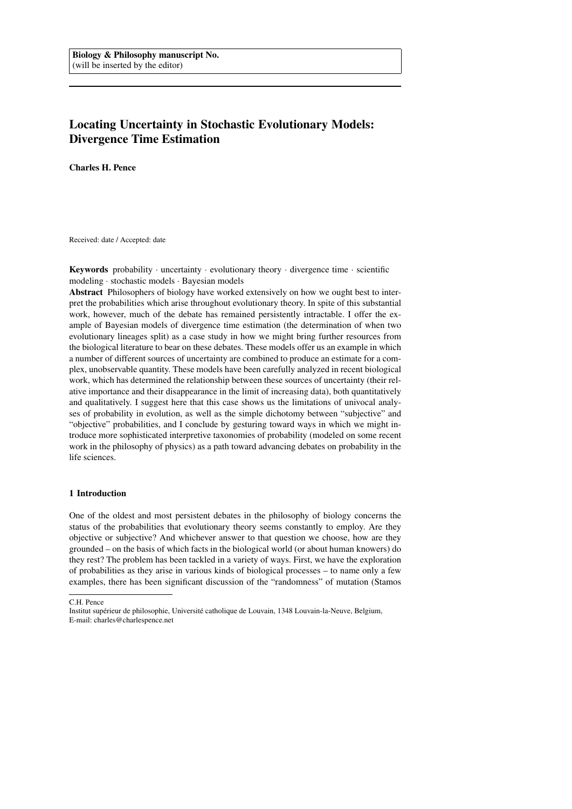# Locating Uncertainty in Stochastic Evolutionary Models: Divergence Time Estimation

Charles H. Pence

Received: date / Accepted: date

**Keywords** probability  $\cdot$  uncertainty  $\cdot$  evolutionary theory  $\cdot$  divergence time  $\cdot$  scientific modeling · stochastic models · Bayesian models

Abstract Philosophers of biology have worked extensively on how we ought best to interpret the probabilities which arise throughout evolutionary theory. In spite of this substantial work, however, much of the debate has remained persistently intractable. I offer the example of Bayesian models of divergence time estimation (the determination of when two evolutionary lineages split) as a case study in how we might bring further resources from the biological literature to bear on these debates. These models offer us an example in which a number of different sources of uncertainty are combined to produce an estimate for a complex, unobservable quantity. These models have been carefully analyzed in recent biological work, which has determined the relationship between these sources of uncertainty (their relative importance and their disappearance in the limit of increasing data), both quantitatively and qualitatively. I suggest here that this case shows us the limitations of univocal analyses of probability in evolution, as well as the simple dichotomy between "subjective" and "objective" probabilities, and I conclude by gesturing toward ways in which we might introduce more sophisticated interpretive taxonomies of probability (modeled on some recent work in the philosophy of physics) as a path toward advancing debates on probability in the life sciences.

## 1 Introduction

One of the oldest and most persistent debates in the philosophy of biology concerns the status of the probabilities that evolutionary theory seems constantly to employ. Are they objective or subjective? And whichever answer to that question we choose, how are they grounded – on the basis of which facts in the biological world (or about human knowers) do they rest? The problem has been tackled in a variety of ways. First, we have the exploration of probabilities as they arise in various kinds of biological processes – to name only a few examples, there has been significant discussion of the "randomness" of mutation (Stamos

C.H. Pence

Institut supérieur de philosophie, Université catholique de Louvain, 1348 Louvain-la-Neuve, Belgium, E-mail: charles@charlespence.net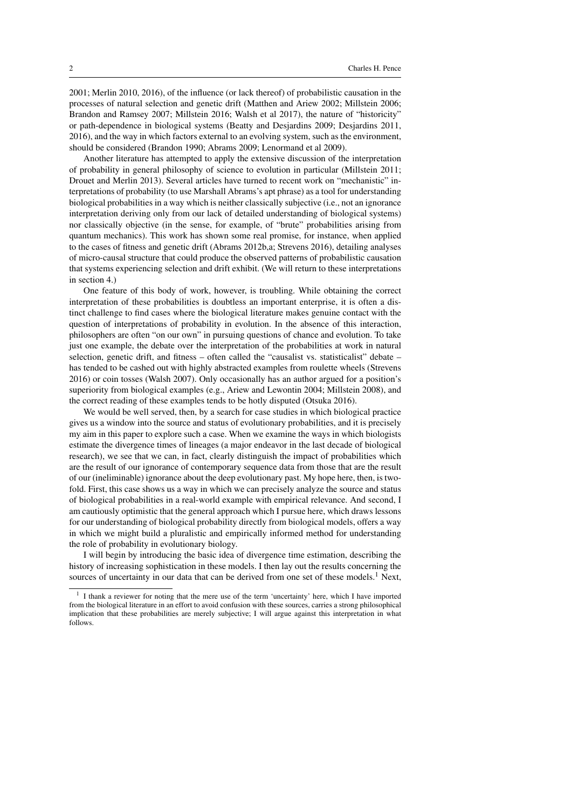2001; Merlin 2010, 2016), of the influence (or lack thereof) of probabilistic causation in the processes of natural selection and genetic drift (Matthen and Ariew 2002; Millstein 2006; Brandon and Ramsey 2007; Millstein 2016; Walsh et al 2017), the nature of "historicity" or path-dependence in biological systems (Beatty and Desjardins 2009; Desjardins 2011, 2016), and the way in which factors external to an evolving system, such as the environment, should be considered (Brandon 1990; Abrams 2009; Lenormand et al 2009).

Another literature has attempted to apply the extensive discussion of the interpretation of probability in general philosophy of science to evolution in particular (Millstein 2011; Drouet and Merlin 2013). Several articles have turned to recent work on "mechanistic" interpretations of probability (to use Marshall Abrams's apt phrase) as a tool for understanding biological probabilities in a way which is neither classically subjective (i.e., not an ignorance interpretation deriving only from our lack of detailed understanding of biological systems) nor classically objective (in the sense, for example, of "brute" probabilities arising from quantum mechanics). This work has shown some real promise, for instance, when applied to the cases of fitness and genetic drift (Abrams 2012b,a; Strevens 2016), detailing analyses of micro-causal structure that could produce the observed patterns of probabilistic causation that systems experiencing selection and drift exhibit. (We will return to these interpretations in section 4.)

One feature of this body of work, however, is troubling. While obtaining the correct interpretation of these probabilities is doubtless an important enterprise, it is often a distinct challenge to find cases where the biological literature makes genuine contact with the question of interpretations of probability in evolution. In the absence of this interaction, philosophers are often "on our own" in pursuing questions of chance and evolution. To take just one example, the debate over the interpretation of the probabilities at work in natural selection, genetic drift, and fitness – often called the "causalist vs. statisticalist" debate – has tended to be cashed out with highly abstracted examples from roulette wheels (Strevens 2016) or coin tosses (Walsh 2007). Only occasionally has an author argued for a position's superiority from biological examples (e.g., Ariew and Lewontin 2004; Millstein 2008), and the correct reading of these examples tends to be hotly disputed (Otsuka 2016).

We would be well served, then, by a search for case studies in which biological practice gives us a window into the source and status of evolutionary probabilities, and it is precisely my aim in this paper to explore such a case. When we examine the ways in which biologists estimate the divergence times of lineages (a major endeavor in the last decade of biological research), we see that we can, in fact, clearly distinguish the impact of probabilities which are the result of our ignorance of contemporary sequence data from those that are the result of our (ineliminable) ignorance about the deep evolutionary past. My hope here, then, is twofold. First, this case shows us a way in which we can precisely analyze the source and status of biological probabilities in a real-world example with empirical relevance. And second, I am cautiously optimistic that the general approach which I pursue here, which draws lessons for our understanding of biological probability directly from biological models, offers a way in which we might build a pluralistic and empirically informed method for understanding the role of probability in evolutionary biology.

I will begin by introducing the basic idea of divergence time estimation, describing the history of increasing sophistication in these models. I then lay out the results concerning the sources of uncertainty in our data that can be derived from one set of these models.<sup>1</sup> Next,

<sup>1</sup> I thank a reviewer for noting that the mere use of the term 'uncertainty' here, which I have imported from the biological literature in an effort to avoid confusion with these sources, carries a strong philosophical implication that these probabilities are merely subjective; I will argue against this interpretation in what follows.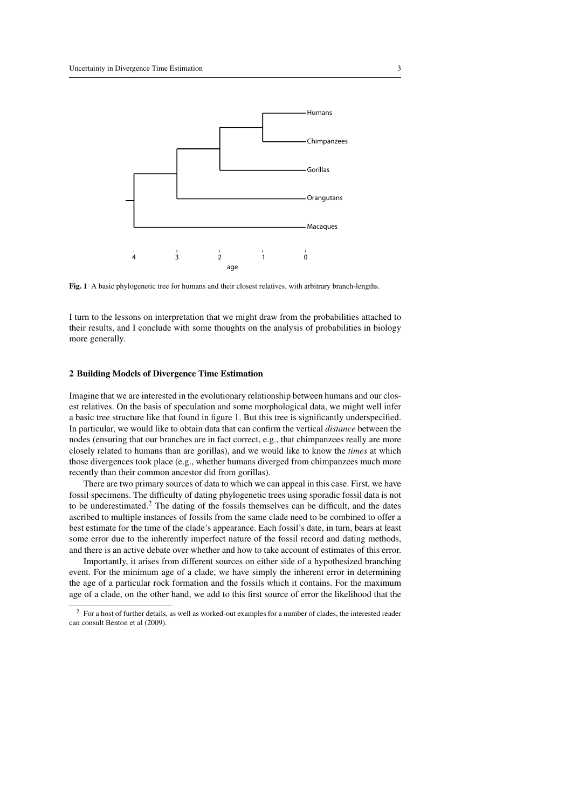

Fig. 1 A basic phylogenetic tree for humans and their closest relatives, with arbitrary branch-lengths.

I turn to the lessons on interpretation that we might draw from the probabilities attached to their results, and I conclude with some thoughts on the analysis of probabilities in biology more generally.

### 2 Building Models of Divergence Time Estimation

Imagine that we are interested in the evolutionary relationship between humans and our closest relatives. On the basis of speculation and some morphological data, we might well infer a basic tree structure like that found in figure 1. But this tree is significantly underspecified. In particular, we would like to obtain data that can confirm the vertical *distance* between the nodes (ensuring that our branches are in fact correct, e.g., that chimpanzees really are more closely related to humans than are gorillas), and we would like to know the *times* at which those divergences took place (e.g., whether humans diverged from chimpanzees much more recently than their common ancestor did from gorillas).

There are two primary sources of data to which we can appeal in this case. First, we have fossil specimens. The difficulty of dating phylogenetic trees using sporadic fossil data is not to be underestimated.<sup>2</sup> The dating of the fossils themselves can be difficult, and the dates ascribed to multiple instances of fossils from the same clade need to be combined to offer a best estimate for the time of the clade's appearance. Each fossil's date, in turn, bears at least some error due to the inherently imperfect nature of the fossil record and dating methods, and there is an active debate over whether and how to take account of estimates of this error.

Importantly, it arises from different sources on either side of a hypothesized branching event. For the minimum age of a clade, we have simply the inherent error in determining the age of a particular rock formation and the fossils which it contains. For the maximum age of a clade, on the other hand, we add to this first source of error the likelihood that the

<sup>2</sup> For a host of further details, as well as worked-out examples for a number of clades, the interested reader can consult Benton et al (2009).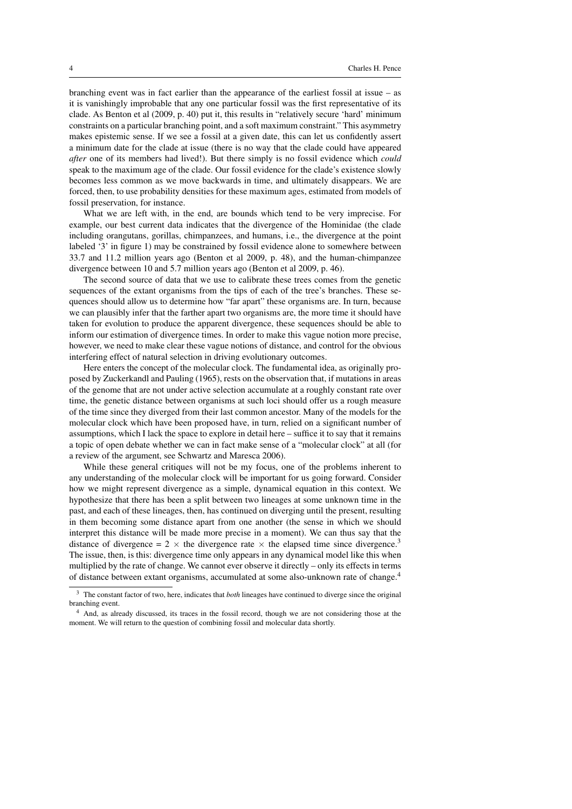branching event was in fact earlier than the appearance of the earliest fossil at issue – as it is vanishingly improbable that any one particular fossil was the first representative of its clade. As Benton et al (2009, p. 40) put it, this results in "relatively secure 'hard' minimum constraints on a particular branching point, and a soft maximum constraint." This asymmetry makes epistemic sense. If we see a fossil at a given date, this can let us confidently assert a minimum date for the clade at issue (there is no way that the clade could have appeared *after* one of its members had lived!). But there simply is no fossil evidence which *could* speak to the maximum age of the clade. Our fossil evidence for the clade's existence slowly becomes less common as we move backwards in time, and ultimately disappears. We are forced, then, to use probability densities for these maximum ages, estimated from models of fossil preservation, for instance.

What we are left with, in the end, are bounds which tend to be very imprecise. For example, our best current data indicates that the divergence of the Hominidae (the clade including orangutans, gorillas, chimpanzees, and humans, i.e., the divergence at the point labeled '3' in figure 1) may be constrained by fossil evidence alone to somewhere between 33.7 and 11.2 million years ago (Benton et al 2009, p. 48), and the human-chimpanzee divergence between 10 and 5.7 million years ago (Benton et al 2009, p. 46).

The second source of data that we use to calibrate these trees comes from the genetic sequences of the extant organisms from the tips of each of the tree's branches. These sequences should allow us to determine how "far apart" these organisms are. In turn, because we can plausibly infer that the farther apart two organisms are, the more time it should have taken for evolution to produce the apparent divergence, these sequences should be able to inform our estimation of divergence times. In order to make this vague notion more precise, however, we need to make clear these vague notions of distance, and control for the obvious interfering effect of natural selection in driving evolutionary outcomes.

Here enters the concept of the molecular clock. The fundamental idea, as originally proposed by Zuckerkandl and Pauling (1965), rests on the observation that, if mutations in areas of the genome that are not under active selection accumulate at a roughly constant rate over time, the genetic distance between organisms at such loci should offer us a rough measure of the time since they diverged from their last common ancestor. Many of the models for the molecular clock which have been proposed have, in turn, relied on a significant number of assumptions, which I lack the space to explore in detail here – suffice it to say that it remains a topic of open debate whether we can in fact make sense of a "molecular clock" at all (for a review of the argument, see Schwartz and Maresca 2006).

While these general critiques will not be my focus, one of the problems inherent to any understanding of the molecular clock will be important for us going forward. Consider how we might represent divergence as a simple, dynamical equation in this context. We hypothesize that there has been a split between two lineages at some unknown time in the past, and each of these lineages, then, has continued on diverging until the present, resulting in them becoming some distance apart from one another (the sense in which we should interpret this distance will be made more precise in a moment). We can thus say that the distance of divergence = 2  $\times$  the divergence rate  $\times$  the elapsed time since divergence.<sup>3</sup> The issue, then, is this: divergence time only appears in any dynamical model like this when multiplied by the rate of change. We cannot ever observe it directly – only its effects in terms of distance between extant organisms, accumulated at some also-unknown rate of change.<sup>4</sup>

<sup>3</sup> The constant factor of two, here, indicates that *both* lineages have continued to diverge since the original branching event.

<sup>4</sup> And, as already discussed, its traces in the fossil record, though we are not considering those at the moment. We will return to the question of combining fossil and molecular data shortly.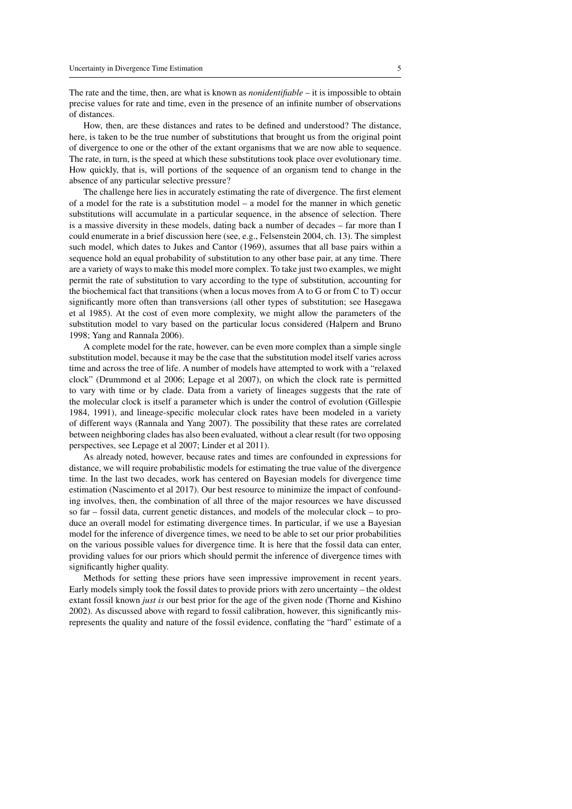The rate and the time, then, are what is known as *nonidentifiable* – it is impossible to obtain precise values for rate and time, even in the presence of an infinite number of observations of distances.

How, then, are these distances and rates to be defined and understood? The distance, here, is taken to be the true number of substitutions that brought us from the original point of divergence to one or the other of the extant organisms that we are now able to sequence. The rate, in turn, is the speed at which these substitutions took place over evolutionary time. How quickly, that is, will portions of the sequence of an organism tend to change in the absence of any particular selective pressure?

The challenge here lies in accurately estimating the rate of divergence. The first element of a model for the rate is a substitution model – a model for the manner in which genetic substitutions will accumulate in a particular sequence, in the absence of selection. There is a massive diversity in these models, dating back a number of decades – far more than I could enumerate in a brief discussion here (see, e.g., Felsenstein 2004, ch. 13). The simplest such model, which dates to Jukes and Cantor (1969), assumes that all base pairs within a sequence hold an equal probability of substitution to any other base pair, at any time. There are a variety of ways to make this model more complex. To take just two examples, we might permit the rate of substitution to vary according to the type of substitution, accounting for the biochemical fact that transitions (when a locus moves from A to G or from C to T) occur significantly more often than transversions (all other types of substitution; see Hasegawa et al 1985). At the cost of even more complexity, we might allow the parameters of the substitution model to vary based on the particular locus considered (Halpern and Bruno 1998; Yang and Rannala 2006).

A complete model for the rate, however, can be even more complex than a simple single substitution model, because it may be the case that the substitution model itself varies across time and across the tree of life. A number of models have attempted to work with a "relaxed clock" (Drummond et al 2006; Lepage et al 2007), on which the clock rate is permitted to vary with time or by clade. Data from a variety of lineages suggests that the rate of the molecular clock is itself a parameter which is under the control of evolution (Gillespie 1984, 1991), and lineage-specific molecular clock rates have been modeled in a variety of different ways (Rannala and Yang 2007). The possibility that these rates are correlated between neighboring clades has also been evaluated, without a clear result (for two opposing perspectives, see Lepage et al 2007; Linder et al 2011).

As already noted, however, because rates and times are confounded in expressions for distance, we will require probabilistic models for estimating the true value of the divergence time. In the last two decades, work has centered on Bayesian models for divergence time estimation (Nascimento et al 2017). Our best resource to minimize the impact of confounding involves, then, the combination of all three of the major resources we have discussed so far – fossil data, current genetic distances, and models of the molecular clock – to produce an overall model for estimating divergence times. In particular, if we use a Bayesian model for the inference of divergence times, we need to be able to set our prior probabilities on the various possible values for divergence time. It is here that the fossil data can enter, providing values for our priors which should permit the inference of divergence times with significantly higher quality.

Methods for setting these priors have seen impressive improvement in recent years. Early models simply took the fossil dates to provide priors with zero uncertainty – the oldest extant fossil known *just is* our best prior for the age of the given node (Thorne and Kishino 2002). As discussed above with regard to fossil calibration, however, this significantly misrepresents the quality and nature of the fossil evidence, conflating the "hard" estimate of a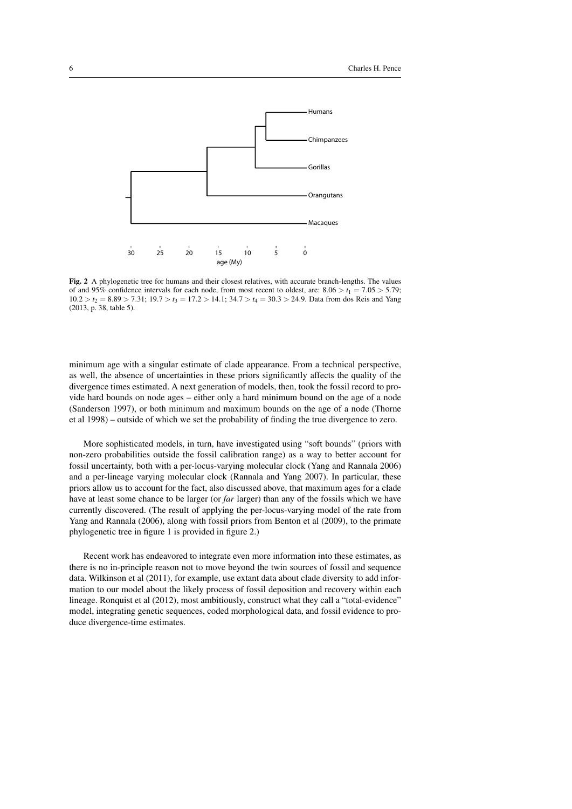

Fig. 2 A phylogenetic tree for humans and their closest relatives, with accurate branch-lengths. The values of and 95% confidence intervals for each node, from most recent to oldest, are:  $8.06 > t_1 = 7.05 > 5.79$ ;  $10.2 > t_2 = 8.89 > 7.31$ ;  $19.7 > t_3 = 17.2 > 14.1$ ;  $34.7 > t_4 = 30.3 > 24.9$ . Data from dos Reis and Yang (2013, p. 38, table 5).

minimum age with a singular estimate of clade appearance. From a technical perspective, as well, the absence of uncertainties in these priors significantly affects the quality of the divergence times estimated. A next generation of models, then, took the fossil record to provide hard bounds on node ages – either only a hard minimum bound on the age of a node (Sanderson 1997), or both minimum and maximum bounds on the age of a node (Thorne et al 1998) – outside of which we set the probability of finding the true divergence to zero.

More sophisticated models, in turn, have investigated using "soft bounds" (priors with non-zero probabilities outside the fossil calibration range) as a way to better account for fossil uncertainty, both with a per-locus-varying molecular clock (Yang and Rannala 2006) and a per-lineage varying molecular clock (Rannala and Yang 2007). In particular, these priors allow us to account for the fact, also discussed above, that maximum ages for a clade have at least some chance to be larger (or *far* larger) than any of the fossils which we have currently discovered. (The result of applying the per-locus-varying model of the rate from Yang and Rannala (2006), along with fossil priors from Benton et al (2009), to the primate phylogenetic tree in figure 1 is provided in figure 2.)

Recent work has endeavored to integrate even more information into these estimates, as there is no in-principle reason not to move beyond the twin sources of fossil and sequence data. Wilkinson et al (2011), for example, use extant data about clade diversity to add information to our model about the likely process of fossil deposition and recovery within each lineage. Ronquist et al (2012), most ambitiously, construct what they call a "total-evidence" model, integrating genetic sequences, coded morphological data, and fossil evidence to produce divergence-time estimates.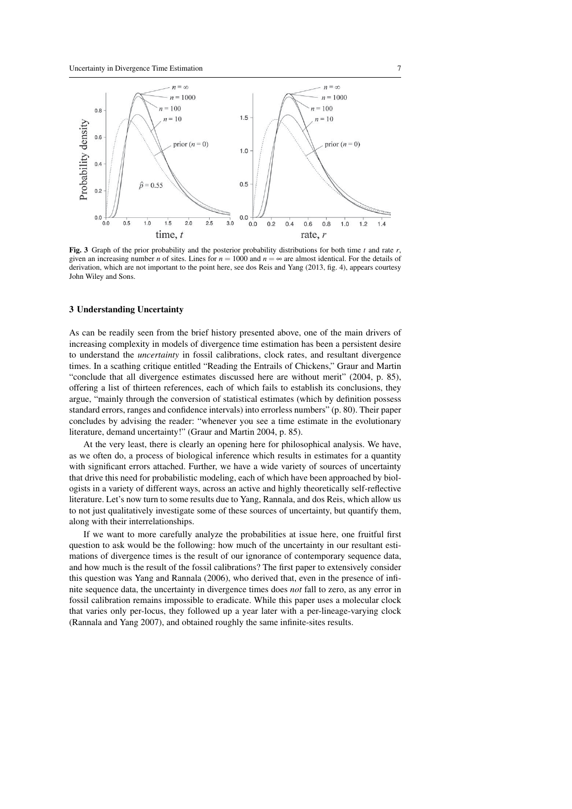

Fig. 3 Graph of the prior probability and the posterior probability distributions for both time  $t$  and rate  $r$ , given an increasing number *n* of sites. Lines for  $n = 1000$  and  $n = \infty$  are almost identical. For the details of derivation, which are not important to the point here, see dos Reis and Yang (2013, fig. 4), appears courtesy John Wiley and Sons.

## 3 Understanding Uncertainty

As can be readily seen from the brief history presented above, one of the main drivers of increasing complexity in models of divergence time estimation has been a persistent desire to understand the *uncertainty* in fossil calibrations, clock rates, and resultant divergence times. In a scathing critique entitled "Reading the Entrails of Chickens," Graur and Martin "conclude that all divergence estimates discussed here are without merit" (2004, p. 85), offering a list of thirteen references, each of which fails to establish its conclusions, they argue, "mainly through the conversion of statistical estimates (which by definition possess standard errors, ranges and confidence intervals) into errorless numbers" (p. 80). Their paper concludes by advising the reader: "whenever you see a time estimate in the evolutionary literature, demand uncertainty!" (Graur and Martin 2004, p. 85).

At the very least, there is clearly an opening here for philosophical analysis. We have, as we often do, a process of biological inference which results in estimates for a quantity with significant errors attached. Further, we have a wide variety of sources of uncertainty that drive this need for probabilistic modeling, each of which have been approached by biologists in a variety of different ways, across an active and highly theoretically self-reflective literature. Let's now turn to some results due to Yang, Rannala, and dos Reis, which allow us to not just qualitatively investigate some of these sources of uncertainty, but quantify them, along with their interrelationships.

If we want to more carefully analyze the probabilities at issue here, one fruitful first question to ask would be the following: how much of the uncertainty in our resultant estimations of divergence times is the result of our ignorance of contemporary sequence data, and how much is the result of the fossil calibrations? The first paper to extensively consider this question was Yang and Rannala (2006), who derived that, even in the presence of infinite sequence data, the uncertainty in divergence times does *not* fall to zero, as any error in fossil calibration remains impossible to eradicate. While this paper uses a molecular clock that varies only per-locus, they followed up a year later with a per-lineage-varying clock (Rannala and Yang 2007), and obtained roughly the same infinite-sites results.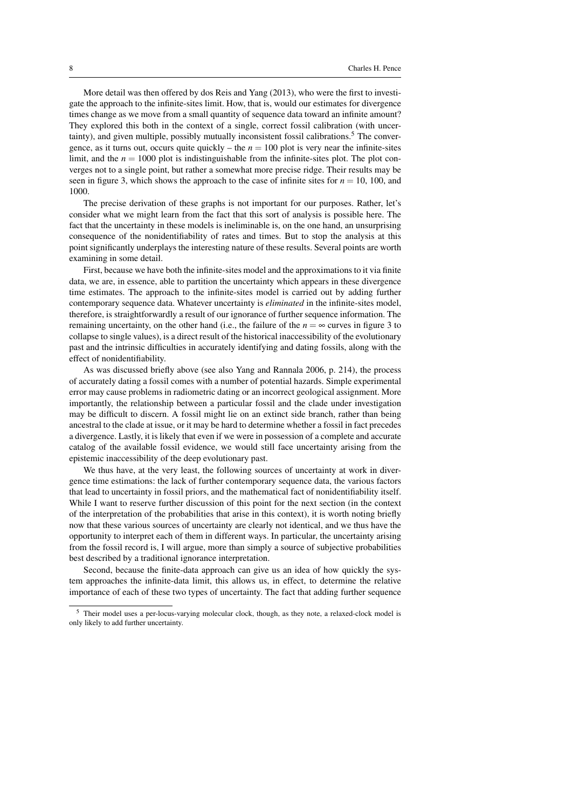More detail was then offered by dos Reis and Yang (2013), who were the first to investigate the approach to the infinite-sites limit. How, that is, would our estimates for divergence times change as we move from a small quantity of sequence data toward an infinite amount? They explored this both in the context of a single, correct fossil calibration (with uncertainty), and given multiple, possibly mutually inconsistent fossil calibrations.<sup>5</sup> The convergence, as it turns out, occurs quite quickly – the  $n = 100$  plot is very near the infinite-sites limit, and the  $n = 1000$  plot is indistinguishable from the infinite-sites plot. The plot converges not to a single point, but rather a somewhat more precise ridge. Their results may be seen in figure 3, which shows the approach to the case of infinite sites for  $n = 10$ , 100, and 1000.

The precise derivation of these graphs is not important for our purposes. Rather, let's consider what we might learn from the fact that this sort of analysis is possible here. The fact that the uncertainty in these models is ineliminable is, on the one hand, an unsurprising consequence of the nonidentifiability of rates and times. But to stop the analysis at this point significantly underplays the interesting nature of these results. Several points are worth examining in some detail.

First, because we have both the infinite-sites model and the approximations to it via finite data, we are, in essence, able to partition the uncertainty which appears in these divergence time estimates. The approach to the infinite-sites model is carried out by adding further contemporary sequence data. Whatever uncertainty is *eliminated* in the infinite-sites model, therefore, is straightforwardly a result of our ignorance of further sequence information. The remaining uncertainty, on the other hand (i.e., the failure of the  $n = \infty$  curves in figure 3 to collapse to single values), is a direct result of the historical inaccessibility of the evolutionary past and the intrinsic difficulties in accurately identifying and dating fossils, along with the effect of nonidentifiability.

As was discussed briefly above (see also Yang and Rannala 2006, p. 214), the process of accurately dating a fossil comes with a number of potential hazards. Simple experimental error may cause problems in radiometric dating or an incorrect geological assignment. More importantly, the relationship between a particular fossil and the clade under investigation may be difficult to discern. A fossil might lie on an extinct side branch, rather than being ancestral to the clade at issue, or it may be hard to determine whether a fossil in fact precedes a divergence. Lastly, it is likely that even if we were in possession of a complete and accurate catalog of the available fossil evidence, we would still face uncertainty arising from the epistemic inaccessibility of the deep evolutionary past.

We thus have, at the very least, the following sources of uncertainty at work in divergence time estimations: the lack of further contemporary sequence data, the various factors that lead to uncertainty in fossil priors, and the mathematical fact of nonidentifiability itself. While I want to reserve further discussion of this point for the next section (in the context of the interpretation of the probabilities that arise in this context), it is worth noting briefly now that these various sources of uncertainty are clearly not identical, and we thus have the opportunity to interpret each of them in different ways. In particular, the uncertainty arising from the fossil record is, I will argue, more than simply a source of subjective probabilities best described by a traditional ignorance interpretation.

Second, because the finite-data approach can give us an idea of how quickly the system approaches the infinite-data limit, this allows us, in effect, to determine the relative importance of each of these two types of uncertainty. The fact that adding further sequence

<sup>5</sup> Their model uses a per-locus-varying molecular clock, though, as they note, a relaxed-clock model is only likely to add further uncertainty.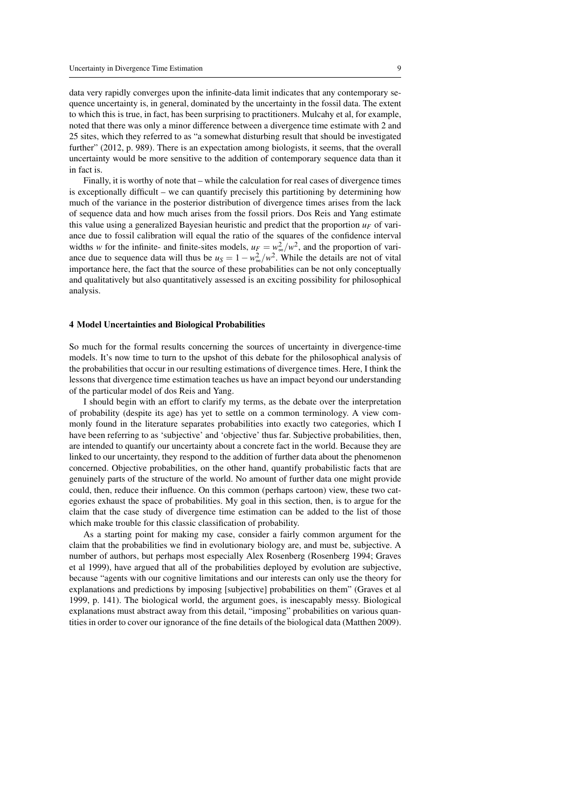data very rapidly converges upon the infinite-data limit indicates that any contemporary sequence uncertainty is, in general, dominated by the uncertainty in the fossil data. The extent to which this is true, in fact, has been surprising to practitioners. Mulcahy et al, for example, noted that there was only a minor difference between a divergence time estimate with 2 and 25 sites, which they referred to as "a somewhat disturbing result that should be investigated further" (2012, p. 989). There is an expectation among biologists, it seems, that the overall uncertainty would be more sensitive to the addition of contemporary sequence data than it in fact is.

Finally, it is worthy of note that – while the calculation for real cases of divergence times is exceptionally difficult – we can quantify precisely this partitioning by determining how much of the variance in the posterior distribution of divergence times arises from the lack of sequence data and how much arises from the fossil priors. Dos Reis and Yang estimate this value using a generalized Bayesian heuristic and predict that the proportion  $u_F$  of variance due to fossil calibration will equal the ratio of the squares of the confidence interval widths *w* for the infinite- and finite-sites models,  $u_F = w_{\infty}^2/w^2$ , and the proportion of variance due to sequence data will thus be  $u_s = 1 - w_{\infty}^2/w^2$ . While the details are not of vital importance here, the fact that the source of these probabilities can be not only conceptually and qualitatively but also quantitatively assessed is an exciting possibility for philosophical analysis.

#### 4 Model Uncertainties and Biological Probabilities

So much for the formal results concerning the sources of uncertainty in divergence-time models. It's now time to turn to the upshot of this debate for the philosophical analysis of the probabilities that occur in our resulting estimations of divergence times. Here, I think the lessons that divergence time estimation teaches us have an impact beyond our understanding of the particular model of dos Reis and Yang.

I should begin with an effort to clarify my terms, as the debate over the interpretation of probability (despite its age) has yet to settle on a common terminology. A view commonly found in the literature separates probabilities into exactly two categories, which I have been referring to as 'subjective' and 'objective' thus far. Subjective probabilities, then, are intended to quantify our uncertainty about a concrete fact in the world. Because they are linked to our uncertainty, they respond to the addition of further data about the phenomenon concerned. Objective probabilities, on the other hand, quantify probabilistic facts that are genuinely parts of the structure of the world. No amount of further data one might provide could, then, reduce their influence. On this common (perhaps cartoon) view, these two categories exhaust the space of probabilities. My goal in this section, then, is to argue for the claim that the case study of divergence time estimation can be added to the list of those which make trouble for this classic classification of probability.

As a starting point for making my case, consider a fairly common argument for the claim that the probabilities we find in evolutionary biology are, and must be, subjective. A number of authors, but perhaps most especially Alex Rosenberg (Rosenberg 1994; Graves et al 1999), have argued that all of the probabilities deployed by evolution are subjective, because "agents with our cognitive limitations and our interests can only use the theory for explanations and predictions by imposing [subjective] probabilities on them" (Graves et al 1999, p. 141). The biological world, the argument goes, is inescapably messy. Biological explanations must abstract away from this detail, "imposing" probabilities on various quantities in order to cover our ignorance of the fine details of the biological data (Matthen 2009).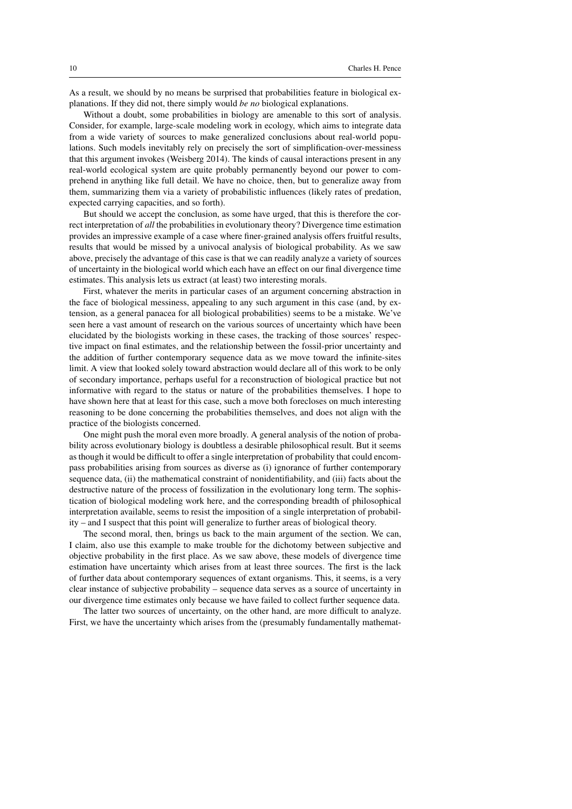As a result, we should by no means be surprised that probabilities feature in biological explanations. If they did not, there simply would *be no* biological explanations.

Without a doubt, some probabilities in biology are amenable to this sort of analysis. Consider, for example, large-scale modeling work in ecology, which aims to integrate data from a wide variety of sources to make generalized conclusions about real-world populations. Such models inevitably rely on precisely the sort of simplification-over-messiness that this argument invokes (Weisberg 2014). The kinds of causal interactions present in any real-world ecological system are quite probably permanently beyond our power to comprehend in anything like full detail. We have no choice, then, but to generalize away from them, summarizing them via a variety of probabilistic influences (likely rates of predation, expected carrying capacities, and so forth).

But should we accept the conclusion, as some have urged, that this is therefore the correct interpretation of *all* the probabilities in evolutionary theory? Divergence time estimation provides an impressive example of a case where finer-grained analysis offers fruitful results, results that would be missed by a univocal analysis of biological probability. As we saw above, precisely the advantage of this case is that we can readily analyze a variety of sources of uncertainty in the biological world which each have an effect on our final divergence time estimates. This analysis lets us extract (at least) two interesting morals.

First, whatever the merits in particular cases of an argument concerning abstraction in the face of biological messiness, appealing to any such argument in this case (and, by extension, as a general panacea for all biological probabilities) seems to be a mistake. We've seen here a vast amount of research on the various sources of uncertainty which have been elucidated by the biologists working in these cases, the tracking of those sources' respective impact on final estimates, and the relationship between the fossil-prior uncertainty and the addition of further contemporary sequence data as we move toward the infinite-sites limit. A view that looked solely toward abstraction would declare all of this work to be only of secondary importance, perhaps useful for a reconstruction of biological practice but not informative with regard to the status or nature of the probabilities themselves. I hope to have shown here that at least for this case, such a move both forecloses on much interesting reasoning to be done concerning the probabilities themselves, and does not align with the practice of the biologists concerned.

One might push the moral even more broadly. A general analysis of the notion of probability across evolutionary biology is doubtless a desirable philosophical result. But it seems as though it would be difficult to offer a single interpretation of probability that could encompass probabilities arising from sources as diverse as (i) ignorance of further contemporary sequence data, (ii) the mathematical constraint of nonidentifiability, and (iii) facts about the destructive nature of the process of fossilization in the evolutionary long term. The sophistication of biological modeling work here, and the corresponding breadth of philosophical interpretation available, seems to resist the imposition of a single interpretation of probability – and I suspect that this point will generalize to further areas of biological theory.

The second moral, then, brings us back to the main argument of the section. We can, I claim, also use this example to make trouble for the dichotomy between subjective and objective probability in the first place. As we saw above, these models of divergence time estimation have uncertainty which arises from at least three sources. The first is the lack of further data about contemporary sequences of extant organisms. This, it seems, is a very clear instance of subjective probability – sequence data serves as a source of uncertainty in our divergence time estimates only because we have failed to collect further sequence data.

The latter two sources of uncertainty, on the other hand, are more difficult to analyze. First, we have the uncertainty which arises from the (presumably fundamentally mathemat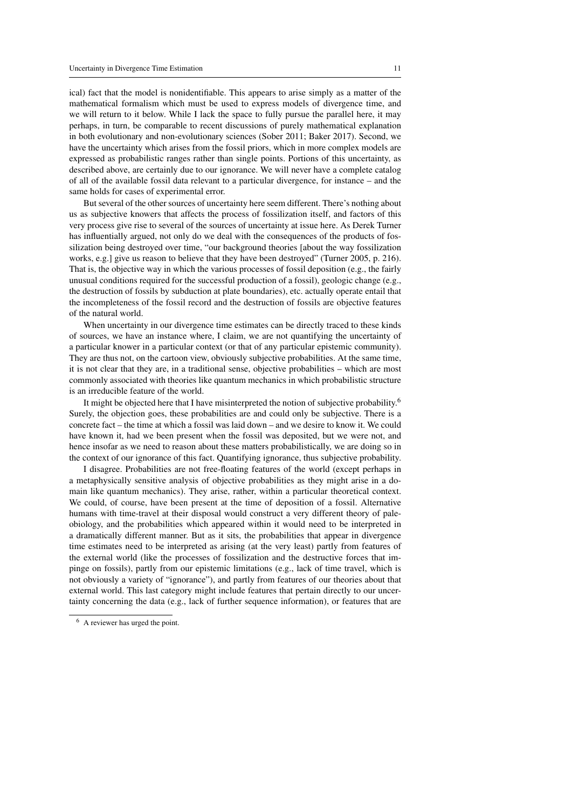ical) fact that the model is nonidentifiable. This appears to arise simply as a matter of the mathematical formalism which must be used to express models of divergence time, and we will return to it below. While I lack the space to fully pursue the parallel here, it may perhaps, in turn, be comparable to recent discussions of purely mathematical explanation in both evolutionary and non-evolutionary sciences (Sober 2011; Baker 2017). Second, we have the uncertainty which arises from the fossil priors, which in more complex models are expressed as probabilistic ranges rather than single points. Portions of this uncertainty, as described above, are certainly due to our ignorance. We will never have a complete catalog of all of the available fossil data relevant to a particular divergence, for instance – and the same holds for cases of experimental error.

But several of the other sources of uncertainty here seem different. There's nothing about us as subjective knowers that affects the process of fossilization itself, and factors of this very process give rise to several of the sources of uncertainty at issue here. As Derek Turner has influentially argued, not only do we deal with the consequences of the products of fossilization being destroyed over time, "our background theories [about the way fossilization works, e.g.] give us reason to believe that they have been destroyed" (Turner 2005, p. 216). That is, the objective way in which the various processes of fossil deposition (e.g., the fairly unusual conditions required for the successful production of a fossil), geologic change (e.g., the destruction of fossils by subduction at plate boundaries), etc. actually operate entail that the incompleteness of the fossil record and the destruction of fossils are objective features of the natural world.

When uncertainty in our divergence time estimates can be directly traced to these kinds of sources, we have an instance where, I claim, we are not quantifying the uncertainty of a particular knower in a particular context (or that of any particular epistemic community). They are thus not, on the cartoon view, obviously subjective probabilities. At the same time, it is not clear that they are, in a traditional sense, objective probabilities – which are most commonly associated with theories like quantum mechanics in which probabilistic structure is an irreducible feature of the world.

It might be objected here that I have misinterpreted the notion of subjective probability.<sup>6</sup> Surely, the objection goes, these probabilities are and could only be subjective. There is a concrete fact – the time at which a fossil was laid down – and we desire to know it. We could have known it, had we been present when the fossil was deposited, but we were not, and hence insofar as we need to reason about these matters probabilistically, we are doing so in the context of our ignorance of this fact. Quantifying ignorance, thus subjective probability.

I disagree. Probabilities are not free-floating features of the world (except perhaps in a metaphysically sensitive analysis of objective probabilities as they might arise in a domain like quantum mechanics). They arise, rather, within a particular theoretical context. We could, of course, have been present at the time of deposition of a fossil. Alternative humans with time-travel at their disposal would construct a very different theory of paleobiology, and the probabilities which appeared within it would need to be interpreted in a dramatically different manner. But as it sits, the probabilities that appear in divergence time estimates need to be interpreted as arising (at the very least) partly from features of the external world (like the processes of fossilization and the destructive forces that impinge on fossils), partly from our epistemic limitations (e.g., lack of time travel, which is not obviously a variety of "ignorance"), and partly from features of our theories about that external world. This last category might include features that pertain directly to our uncertainty concerning the data (e.g., lack of further sequence information), or features that are

<sup>6</sup> A reviewer has urged the point.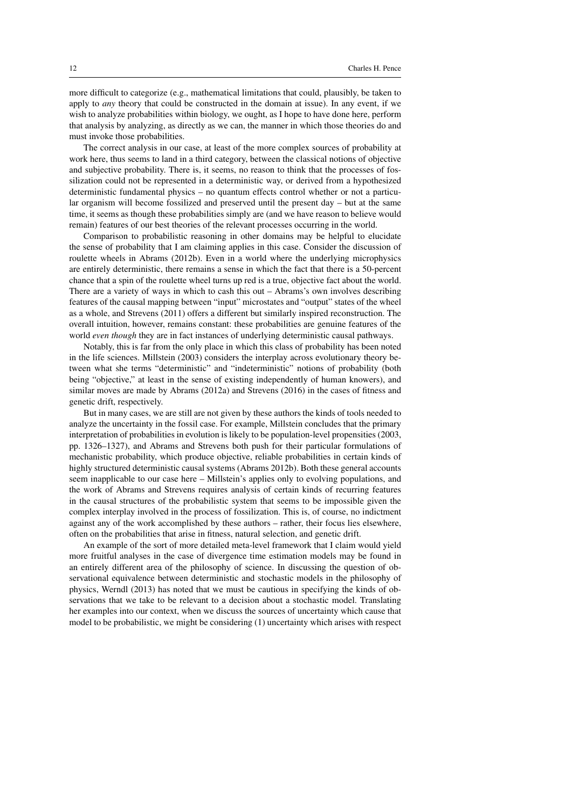more difficult to categorize (e.g., mathematical limitations that could, plausibly, be taken to apply to *any* theory that could be constructed in the domain at issue). In any event, if we wish to analyze probabilities within biology, we ought, as I hope to have done here, perform that analysis by analyzing, as directly as we can, the manner in which those theories do and must invoke those probabilities.

The correct analysis in our case, at least of the more complex sources of probability at work here, thus seems to land in a third category, between the classical notions of objective and subjective probability. There is, it seems, no reason to think that the processes of fossilization could not be represented in a deterministic way, or derived from a hypothesized deterministic fundamental physics – no quantum effects control whether or not a particular organism will become fossilized and preserved until the present day – but at the same time, it seems as though these probabilities simply are (and we have reason to believe would remain) features of our best theories of the relevant processes occurring in the world.

Comparison to probabilistic reasoning in other domains may be helpful to elucidate the sense of probability that I am claiming applies in this case. Consider the discussion of roulette wheels in Abrams (2012b). Even in a world where the underlying microphysics are entirely deterministic, there remains a sense in which the fact that there is a 50-percent chance that a spin of the roulette wheel turns up red is a true, objective fact about the world. There are a variety of ways in which to cash this out – Abrams's own involves describing features of the causal mapping between "input" microstates and "output" states of the wheel as a whole, and Strevens (2011) offers a different but similarly inspired reconstruction. The overall intuition, however, remains constant: these probabilities are genuine features of the world *even though* they are in fact instances of underlying deterministic causal pathways.

Notably, this is far from the only place in which this class of probability has been noted in the life sciences. Millstein (2003) considers the interplay across evolutionary theory between what she terms "deterministic" and "indeterministic" notions of probability (both being "objective," at least in the sense of existing independently of human knowers), and similar moves are made by Abrams (2012a) and Strevens (2016) in the cases of fitness and genetic drift, respectively.

But in many cases, we are still are not given by these authors the kinds of tools needed to analyze the uncertainty in the fossil case. For example, Millstein concludes that the primary interpretation of probabilities in evolution is likely to be population-level propensities (2003, pp. 1326–1327), and Abrams and Strevens both push for their particular formulations of mechanistic probability, which produce objective, reliable probabilities in certain kinds of highly structured deterministic causal systems (Abrams 2012b). Both these general accounts seem inapplicable to our case here – Millstein's applies only to evolving populations, and the work of Abrams and Strevens requires analysis of certain kinds of recurring features in the causal structures of the probabilistic system that seems to be impossible given the complex interplay involved in the process of fossilization. This is, of course, no indictment against any of the work accomplished by these authors – rather, their focus lies elsewhere, often on the probabilities that arise in fitness, natural selection, and genetic drift.

An example of the sort of more detailed meta-level framework that I claim would yield more fruitful analyses in the case of divergence time estimation models may be found in an entirely different area of the philosophy of science. In discussing the question of observational equivalence between deterministic and stochastic models in the philosophy of physics, Werndl (2013) has noted that we must be cautious in specifying the kinds of observations that we take to be relevant to a decision about a stochastic model. Translating her examples into our context, when we discuss the sources of uncertainty which cause that model to be probabilistic, we might be considering (1) uncertainty which arises with respect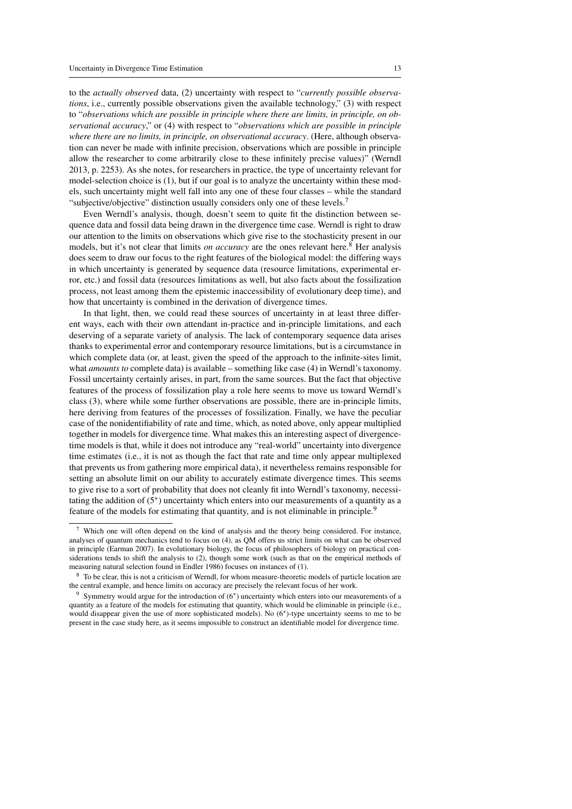to the *actually observed* data, (2) uncertainty with respect to "*currently possible observations*, i.e., currently possible observations given the available technology," (3) with respect to "*observations which are possible in principle where there are limits, in principle, on observational accuracy*," or (4) with respect to "*observations which are possible in principle where there are no limits, in principle, on observational accuracy*. (Here, although observation can never be made with infinite precision, observations which are possible in principle allow the researcher to come arbitrarily close to these infinitely precise values)" (Werndl 2013, p. 2253). As she notes, for researchers in practice, the type of uncertainty relevant for model-selection choice is (1), but if our goal is to analyze the uncertainty within these models, such uncertainty might well fall into any one of these four classes – while the standard "subjective/objective" distinction usually considers only one of these levels.<sup>7</sup>

Even Werndl's analysis, though, doesn't seem to quite fit the distinction between sequence data and fossil data being drawn in the divergence time case. Werndl is right to draw our attention to the limits on observations which give rise to the stochasticity present in our models, but it's not clear that limits *on accuracy* are the ones relevant here.<sup>8</sup> Her analysis does seem to draw our focus to the right features of the biological model: the differing ways in which uncertainty is generated by sequence data (resource limitations, experimental error, etc.) and fossil data (resources limitations as well, but also facts about the fossilization process, not least among them the epistemic inaccessibility of evolutionary deep time), and how that uncertainty is combined in the derivation of divergence times.

In that light, then, we could read these sources of uncertainty in at least three different ways, each with their own attendant in-practice and in-principle limitations, and each deserving of a separate variety of analysis. The lack of contemporary sequence data arises thanks to experimental error and contemporary resource limitations, but is a circumstance in which complete data (or, at least, given the speed of the approach to the infinite-sites limit, what *amounts to* complete data) is available – something like case (4) in Werndl's taxonomy. Fossil uncertainty certainly arises, in part, from the same sources. But the fact that objective features of the process of fossilization play a role here seems to move us toward Werndl's class (3), where while some further observations are possible, there are in-principle limits, here deriving from features of the processes of fossilization. Finally, we have the peculiar case of the nonidentifiability of rate and time, which, as noted above, only appear multiplied together in models for divergence time. What makes this an interesting aspect of divergencetime models is that, while it does not introduce any "real-world" uncertainty into divergence time estimates (i.e., it is not as though the fact that rate and time only appear multiplexed that prevents us from gathering more empirical data), it nevertheless remains responsible for setting an absolute limit on our ability to accurately estimate divergence times. This seems to give rise to a sort of probability that does not cleanly fit into Werndl's taxonomy, necessitating the addition of  $(5^*)$  uncertainty which enters into our measurements of a quantity as a feature of the models for estimating that quantity, and is not eliminable in principle.<sup>9</sup>

 $<sup>7</sup>$  Which one will often depend on the kind of analysis and the theory being considered. For instance,</sup> analyses of quantum mechanics tend to focus on (4), as QM offers us strict limits on what can be observed in principle (Earman 2007). In evolutionary biology, the focus of philosophers of biology on practical considerations tends to shift the analysis to (2), though some work (such as that on the empirical methods of measuring natural selection found in Endler 1986) focuses on instances of (1).

<sup>&</sup>lt;sup>8</sup> To be clear, this is not a criticism of Werndl, for whom measure-theoretic models of particle location are the central example, and hence limits on accuracy are precisely the relevant focus of her work.

<sup>&</sup>lt;sup>9</sup> Symmetry would argue for the introduction of  $(6<sup>*</sup>)$  uncertainty which enters into our measurements of a quantity as a feature of the models for estimating that quantity, which would be eliminable in principle (i.e., would disappear given the use of more sophisticated models). No (6<sup>\*</sup>)-type uncertainty seems to me to be present in the case study here, as it seems impossible to construct an identifiable model for divergence time.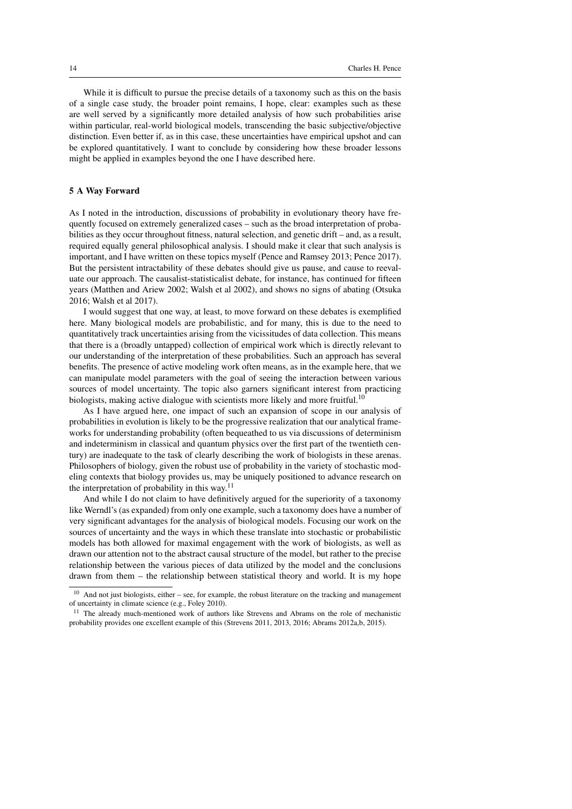While it is difficult to pursue the precise details of a taxonomy such as this on the basis of a single case study, the broader point remains, I hope, clear: examples such as these are well served by a significantly more detailed analysis of how such probabilities arise within particular, real-world biological models, transcending the basic subjective/objective distinction. Even better if, as in this case, these uncertainties have empirical upshot and can be explored quantitatively. I want to conclude by considering how these broader lessons might be applied in examples beyond the one I have described here.

#### 5 A Way Forward

As I noted in the introduction, discussions of probability in evolutionary theory have frequently focused on extremely generalized cases – such as the broad interpretation of probabilities as they occur throughout fitness, natural selection, and genetic drift – and, as a result, required equally general philosophical analysis. I should make it clear that such analysis is important, and I have written on these topics myself (Pence and Ramsey 2013; Pence 2017). But the persistent intractability of these debates should give us pause, and cause to reevaluate our approach. The causalist-statisticalist debate, for instance, has continued for fifteen years (Matthen and Ariew 2002; Walsh et al 2002), and shows no signs of abating (Otsuka 2016; Walsh et al 2017).

I would suggest that one way, at least, to move forward on these debates is exemplified here. Many biological models are probabilistic, and for many, this is due to the need to quantitatively track uncertainties arising from the vicissitudes of data collection. This means that there is a (broadly untapped) collection of empirical work which is directly relevant to our understanding of the interpretation of these probabilities. Such an approach has several benefits. The presence of active modeling work often means, as in the example here, that we can manipulate model parameters with the goal of seeing the interaction between various sources of model uncertainty. The topic also garners significant interest from practicing biologists, making active dialogue with scientists more likely and more fruitful.<sup>10</sup>

As I have argued here, one impact of such an expansion of scope in our analysis of probabilities in evolution is likely to be the progressive realization that our analytical frameworks for understanding probability (often bequeathed to us via discussions of determinism and indeterminism in classical and quantum physics over the first part of the twentieth century) are inadequate to the task of clearly describing the work of biologists in these arenas. Philosophers of biology, given the robust use of probability in the variety of stochastic modeling contexts that biology provides us, may be uniquely positioned to advance research on the interpretation of probability in this way.<sup>11</sup>

And while I do not claim to have definitively argued for the superiority of a taxonomy like Werndl's (as expanded) from only one example, such a taxonomy does have a number of very significant advantages for the analysis of biological models. Focusing our work on the sources of uncertainty and the ways in which these translate into stochastic or probabilistic models has both allowed for maximal engagement with the work of biologists, as well as drawn our attention not to the abstract causal structure of the model, but rather to the precise relationship between the various pieces of data utilized by the model and the conclusions drawn from them – the relationship between statistical theory and world. It is my hope

 $10$  And not just biologists, either – see, for example, the robust literature on the tracking and management of uncertainty in climate science (e.g., Foley 2010).

<sup>&</sup>lt;sup>11</sup> The already much-mentioned work of authors like Strevens and Abrams on the role of mechanistic probability provides one excellent example of this (Strevens 2011, 2013, 2016; Abrams 2012a,b, 2015).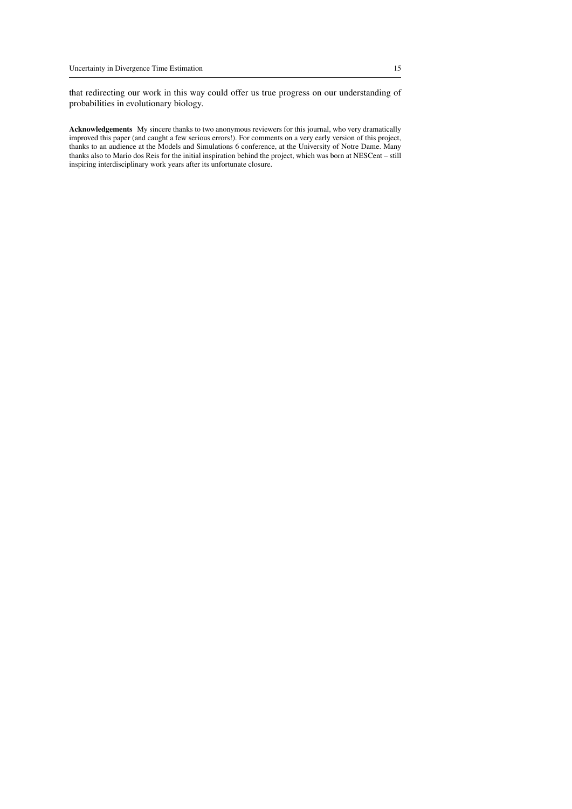that redirecting our work in this way could offer us true progress on our understanding of probabilities in evolutionary biology.

Acknowledgements My sincere thanks to two anonymous reviewers for this journal, who very dramatically improved this paper (and caught a few serious errors!). For comments on a very early version of this project, thanks to an audience at the Models and Simulations 6 conference, at the University of Notre Dame. Many thanks also to Mario dos Reis for the initial inspiration behind the project, which was born at NESCent – still inspiring interdisciplinary work years after its unfortunate closure.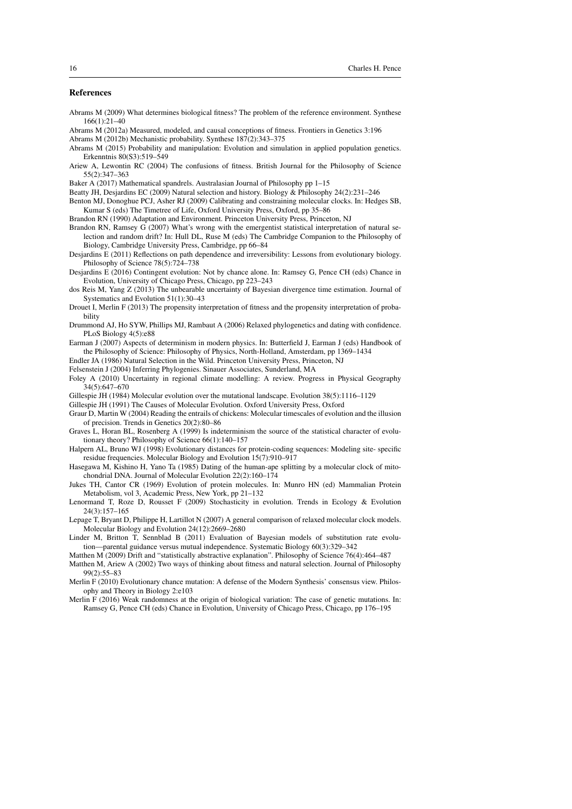#### References

- Abrams M (2009) What determines biological fitness? The problem of the reference environment. Synthese 166(1):21–40
- Abrams M (2012a) Measured, modeled, and causal conceptions of fitness. Frontiers in Genetics 3:196
- Abrams M (2012b) Mechanistic probability. Synthese 187(2):343–375
- Abrams M (2015) Probability and manipulation: Evolution and simulation in applied population genetics. Erkenntnis 80(S3):519–549
- Ariew A, Lewontin RC (2004) The confusions of fitness. British Journal for the Philosophy of Science 55(2):347–363

Baker A (2017) Mathematical spandrels. Australasian Journal of Philosophy pp 1–15

- Beatty JH, Desjardins EC (2009) Natural selection and history. Biology & Philosophy 24(2):231–246
- Benton MJ, Donoghue PCJ, Asher RJ (2009) Calibrating and constraining molecular clocks. In: Hedges SB, Kumar S (eds) The Timetree of Life, Oxford University Press, Oxford, pp 35–86

Brandon RN (1990) Adaptation and Environment. Princeton University Press, Princeton, NJ

- Brandon RN, Ramsey G (2007) What's wrong with the emergentist statistical interpretation of natural selection and random drift? In: Hull DL, Ruse M (eds) The Cambridge Companion to the Philosophy of Biology, Cambridge University Press, Cambridge, pp 66–84
- Desjardins E (2011) Reflections on path dependence and irreversibility: Lessons from evolutionary biology. Philosophy of Science 78(5):724–738
- Desjardins E (2016) Contingent evolution: Not by chance alone. In: Ramsey G, Pence CH (eds) Chance in Evolution, University of Chicago Press, Chicago, pp 223–243
- dos Reis M, Yang Z (2013) The unbearable uncertainty of Bayesian divergence time estimation. Journal of Systematics and Evolution 51(1):30–43
- Drouet I, Merlin F (2013) The propensity interpretation of fitness and the propensity interpretation of probability
- Drummond AJ, Ho SYW, Phillips MJ, Rambaut A (2006) Relaxed phylogenetics and dating with confidence. PLoS Biology 4(5):e88
- Earman J (2007) Aspects of determinism in modern physics. In: Butterfield J, Earman J (eds) Handbook of the Philosophy of Science: Philosophy of Physics, North-Holland, Amsterdam, pp 1369–1434

Endler JA (1986) Natural Selection in the Wild. Princeton University Press, Princeton, NJ

- Felsenstein J (2004) Inferring Phylogenies. Sinauer Associates, Sunderland, MA
- Foley A (2010) Uncertainty in regional climate modelling: A review. Progress in Physical Geography 34(5):647–670
- Gillespie JH (1984) Molecular evolution over the mutational landscape. Evolution 38(5):1116–1129
- Gillespie JH (1991) The Causes of Molecular Evolution. Oxford University Press, Oxford
- Graur D, Martin W (2004) Reading the entrails of chickens: Molecular timescales of evolution and the illusion of precision. Trends in Genetics 20(2):80–86
- Graves L, Horan BL, Rosenberg A (1999) Is indeterminism the source of the statistical character of evolutionary theory? Philosophy of Science 66(1):140–157
- Halpern AL, Bruno WJ (1998) Evolutionary distances for protein-coding sequences: Modeling site- specific residue frequencies. Molecular Biology and Evolution 15(7):910–917
- Hasegawa M, Kishino H, Yano Ta (1985) Dating of the human-ape splitting by a molecular clock of mitochondrial DNA. Journal of Molecular Evolution 22(2):160–174
- Jukes TH, Cantor CR (1969) Evolution of protein molecules. In: Munro HN (ed) Mammalian Protein Metabolism, vol 3, Academic Press, New York, pp 21–132
- Lenormand T, Roze D, Rousset F (2009) Stochasticity in evolution. Trends in Ecology & Evolution 24(3):157–165
- Lepage T, Bryant D, Philippe H, Lartillot N (2007) A general comparison of relaxed molecular clock models. Molecular Biology and Evolution 24(12):2669–2680
- Linder M, Britton T, Sennblad B (2011) Evaluation of Bayesian models of substitution rate evolution—parental guidance versus mutual independence. Systematic Biology 60(3):329–342
- Matthen M (2009) Drift and "statistically abstractive explanation". Philosophy of Science 76(4):464–487
- Matthen M, Ariew A (2002) Two ways of thinking about fitness and natural selection. Journal of Philosophy 99(2):55–83
- Merlin F (2010) Evolutionary chance mutation: A defense of the Modern Synthesis' consensus view. Philosophy and Theory in Biology 2:e103
- Merlin F (2016) Weak randomness at the origin of biological variation: The case of genetic mutations. In: Ramsey G, Pence CH (eds) Chance in Evolution, University of Chicago Press, Chicago, pp 176–195